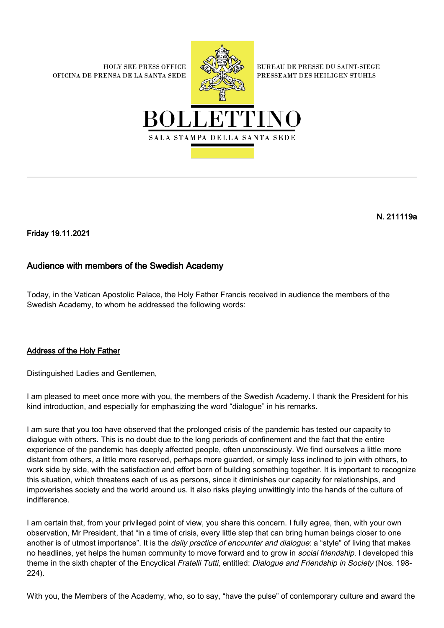**HOLY SEE PRESS OFFICE** OFICINA DE PRENSA DE LA SANTA SEDE



**BUREAU DE PRESSE DU SAINT-SIEGE** PRESSEAMT DES HEILIGEN STUHLS



## N. 211119a

Friday 19.11.2021

## Audience with members of the Swedish Academy

Today, in the Vatican Apostolic Palace, the Holy Father Francis received in audience the members of the Swedish Academy, to whom he addressed the following words:

## Address of the Holy Father

Distinguished Ladies and Gentlemen,

I am pleased to meet once more with you, the members of the Swedish Academy. I thank the President for his kind introduction, and especially for emphasizing the word "dialogue" in his remarks.

I am sure that you too have observed that the prolonged crisis of the pandemic has tested our capacity to dialogue with others. This is no doubt due to the long periods of confinement and the fact that the entire experience of the pandemic has deeply affected people, often unconsciously. We find ourselves a little more distant from others, a little more reserved, perhaps more guarded, or simply less inclined to join with others, to work side by side, with the satisfaction and effort born of building something together. It is important to recognize this situation, which threatens each of us as persons, since it diminishes our capacity for relationships, and impoverishes society and the world around us. It also risks playing unwittingly into the hands of the culture of indifference.

I am certain that, from your privileged point of view, you share this concern. I fully agree, then, with your own observation, Mr President, that "in a time of crisis, every little step that can bring human beings closer to one another is of utmost importance". It is the *daily practice of encounter and dialogue*: a "style" of living that makes no headlines, yet helps the human community to move forward and to grow in *social friendship*. I developed this theme in the sixth chapter of the Encyclical Fratelli Tutti, entitled: Dialogue and Friendship in Society (Nos. 198-224).

With you, the Members of the Academy, who, so to say, "have the pulse" of contemporary culture and award the